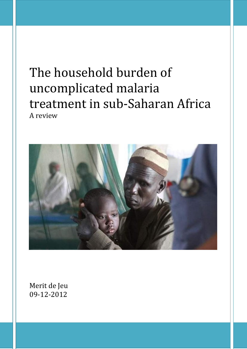# The household burden of uncomplicated malaria treatment in sub-Saharan Africa A review



Merit de Jeu 09-12-2012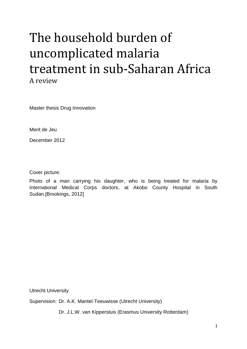# The household burden of uncomplicated malaria treatment in sub-Saharan Africa A review

Master thesis Drug Innovation

Merit de Jeu

December 2012

Cover picture:

Photo of a man carrying his daughter, who is being treated for malaria by International Medical Corps doctors, at Akobo County Hospital in South Sudan.[Brookings, 2012]

Utrecht University

Supervision: Dr. A.K. Mantel-Teeuwisse (Utrecht University)

Dr. J.L.W. van Kippersluis (Erasmus University Rotterdam)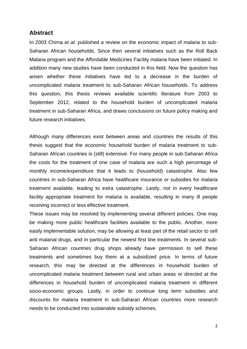## **Abstract**

In 2003 Chima et *al.* published a review on the economic impact of malaria to sub-Saharan African households. Since then several initiatives such as the Roll Back Malaria program and the Affordable Medicines Facility malaria have been initiated. In addition many new studies have been conducted in this field. Now the question has arisen whether these initiatives have led to a decrease in the burden of uncomplicated malaria treatment to sub-Saharan African households. To address this question, this thesis reviews available scientific literature from 2003 to September 2012, related to the household burden of uncomplicated malaria treatment in sub-Saharan Africa, and draws conclusions on future policy making and future research initiatives.

Although many differences exist between areas and countries the results of this thesis suggest that the economic household burden of malaria treatment to sub-Saharan African countries is (still) extensive. For many people in sub-Saharan Africa the costs for the treatment of one case of malaria are such a high percentage of monthly income/expenditure that it leads to (household) catastrophe. Also few countries in sub-Saharan Africa have healthcare insurance or subsidies for malaria treatment available, leading to extra catastrophe. Lastly, not in every healthcare facility appropriate treatment for malaria is available, resulting in many ill people receiving incorrect or less effective treatment.

These issues may be resolved by implementing several different policies. One may be making more public healthcare facilities available to the public. Another, more easily implementable solution, may be allowing at least part of the retail sector to sell anti malarial drugs, and in particular the newest first line treatments. In several sub-Saharan African countries drug shops already have permission to sell these treatments and sometimes buy them at a subsidized price. In terms of future research, this may be directed at the differences in household burden of uncomplicated malaria treatment between rural and urban areas or directed at the differences in household burden of uncomplicated malaria treatment in different socio-economic groups. Lastly, in order to continue long term subsidies and discounts for malaria treatment in sub-Saharan African countries more research needs to be conducted into sustainable subsidy schemes.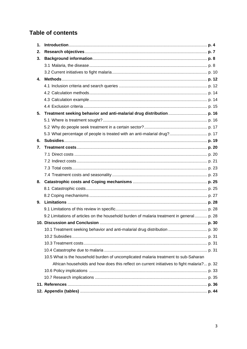## **Table of contents**

| 1. |                                                                                             |  |
|----|---------------------------------------------------------------------------------------------|--|
| 2. |                                                                                             |  |
| 3. |                                                                                             |  |
|    |                                                                                             |  |
|    |                                                                                             |  |
| 4. |                                                                                             |  |
|    |                                                                                             |  |
|    |                                                                                             |  |
|    |                                                                                             |  |
|    |                                                                                             |  |
| 5. |                                                                                             |  |
|    |                                                                                             |  |
|    |                                                                                             |  |
|    |                                                                                             |  |
| 6. |                                                                                             |  |
| 7. |                                                                                             |  |
|    |                                                                                             |  |
|    |                                                                                             |  |
|    |                                                                                             |  |
|    |                                                                                             |  |
| 8. |                                                                                             |  |
|    |                                                                                             |  |
|    |                                                                                             |  |
| 9. |                                                                                             |  |
|    |                                                                                             |  |
|    | 9.2 Limitations of articles on the household burden of malaria treatment in general p. 28   |  |
|    |                                                                                             |  |
|    |                                                                                             |  |
|    |                                                                                             |  |
|    |                                                                                             |  |
|    |                                                                                             |  |
|    | 10.5 What is the household burden of uncomplicated malaria treatment to sub-Saharan         |  |
|    | African households and how does this reflect on current initiatives to fight malaria? p. 32 |  |
|    |                                                                                             |  |
|    |                                                                                             |  |
|    |                                                                                             |  |
|    |                                                                                             |  |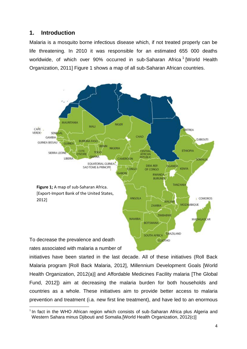## **1. Introduction**

Malaria is a mosquito borne infectious disease which, if not treated properly can be life threatening. In 2010 it was responsible for an estimated 655 000 deaths worldwide, of which over 90% occurred in sub-Saharan Africa<sup>1</sup> [World Health Organization, 2011] Figure 1 shows a map of all sub-Saharan African countries.



initiatives have been started in the last decade. All of these initiatives (Roll Back Malaria program [Roll Back Malaria, 2012], Millennium Development Goals [World Health Organization, 2012(a)] and Affordable Medicines Facility malaria [The Global Fund, 2012]) aim at decreasing the malaria burden for both households and countries as a whole. These initiatives aim to provide better access to malaria prevention and treatment (i.a. new first line treatment), and have led to an enormous

 $\overline{\phantom{a}}$ <sup>1</sup> In fact in the WHO African region which consists of sub-Saharan Africa plus Algeria and xWestern Sahara minus Djibouti and Somalia.[World Health Organization, 2012(c)]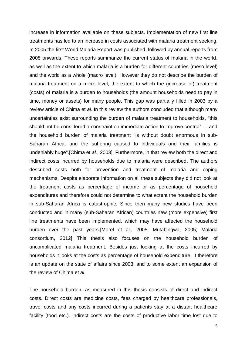increase in information available on these subjects. Implementation of new first line treatments has led to an increase in costs associated with malaria treatment seeking. In 2005 the first World Malaria Report was published, followed by annual reports from 2008 onwards. These reports summarize the current status of malaria in the world, as well as the extent to which malaria is a burden for different countries (meso level) and the world as a whole (macro level). However they do not describe the burden of malaria treatment on a micro level, the extent to which the (increase of) treatment (costs) of malaria is a burden to households (the amount households need to pay in time, money or assets) for many people. This gap was partially filled in 2003 by a review article of Chima et *al*. In this review the authors concluded that although many uncertainties exist surrounding the burden of malaria treatment to households, "this should not be considered a constraint on immediate action to improve control" … and the household burden of malaria treatment "is without doubt enormous in sub-Saharan Africa, and the suffering caused to individuals and their families is undeniably huge".[Chima et *al.*, 2003]. Furthermore, in that review both the direct and indirect costs incurred by households due to malaria were described. The authors described costs both for prevention and treatment of malaria and coping mechanisms. Despite elaborate information on all these subjects they did not look at the treatment costs as percentage of income or as percentage of household expenditures and therefore could not determine to what extent the household burden in sub-Saharan Africa is catastrophic. Since then many new studies have been conducted and in many (sub-Saharan African) countries new (more expensive) first line treatments have been implemented, which may have affected the household burden over the past years.[Morel et al., 2005; Mutabingwa, 2005; Malaria consortium, 2012] This thesis also focuses on the household burden of uncomplicated malaria treatment. Besides just looking at the costs incurred by households it looks at the costs as percentage of household expenditure. It therefore is an update on the state of affairs since 2003, and to some extent an expansion of the review of Chima et *al*.

The household burden, as measured in this thesis consists of direct and indirect costs. Direct costs are medicine costs, fees charged by healthcare professionals, travel costs and any costs incurred during a patients stay at a distant healthcare facility (food etc.). Indirect costs are the costs of productive labor time lost due to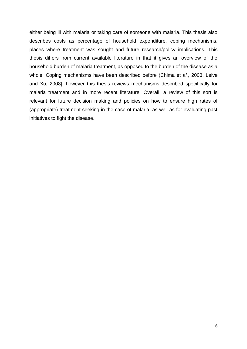either being ill with malaria or taking care of someone with malaria. This thesis also describes costs as percentage of household expenditure, coping mechanisms, places where treatment was sought and future research/policy implications. This thesis differs from current available literature in that it gives an overview of the household burden of malaria treatment, as opposed to the burden of the disease as a whole. Coping mechanisms have been described before (Chima et *al.*, 2003, Leive and Xu, 2008], however this thesis reviews mechanisms described specifically for malaria treatment and in more recent literature. Overall, a review of this sort is relevant for future decision making and policies on how to ensure high rates of (appropriate) treatment seeking in the case of malaria, as well as for evaluating past initiatives to fight the disease.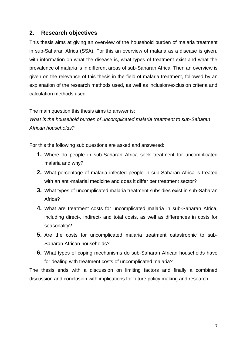## **2. Research objectives**

This thesis aims at giving an overview of the household burden of malaria treatment in sub-Saharan Africa (SSA). For this an overview of malaria as a disease is given, with information on what the disease is, what types of treatment exist and what the prevalence of malaria is in different areas of sub-Saharan Africa. Then an overview is given on the relevance of this thesis in the field of malaria treatment, followed by an explanation of the research methods used, as well as inclusion/exclusion criteria and calculation methods used.

The main question this thesis aims to answer is:

*What is the household burden of uncomplicated malaria treatment to sub-Saharan African households?*

For this the following sub questions are asked and answered:

- **1.** Where do people in sub-Saharan Africa seek treatment for uncomplicated malaria and why?
- **2.** What percentage of malaria infected people in sub-Saharan Africa is treated with an anti-malarial medicine and does it differ per treatment sector?
- **3.** What types of uncomplicated malaria treatment subsidies exist in sub-Saharan Africa?
- **4.** What are treatment costs for uncomplicated malaria in sub-Saharan Africa, including direct-, indirect- and total costs, as well as differences in costs for seasonality?
- **5.** Are the costs for uncomplicated malaria treatment catastrophic to sub-Saharan African households?
- **6.** What types of coping mechanisms do sub-Saharan African households have for dealing with treatment costs of uncomplicated malaria?

The thesis ends with a discussion on limiting factors and finally a combined discussion and conclusion with implications for future policy making and research.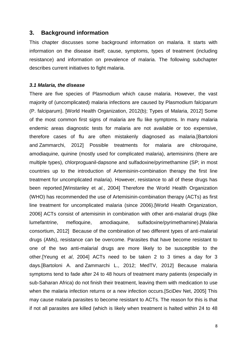#### **3. Background information**

This chapter discusses some background information on malaria. It starts with information on the disease itself; cause, symptoms, types of treatment (including resistance) and information on prevalence of malaria. The following subchapter describes current initiatives to fight malaria.

#### *3.1 Malaria, the disease*

There are five species of Plasmodium which cause malaria. However, the vast majority of (uncomplicated) malaria infections are caused by Plasmodium falciparum (P. falciparum). [World Health Organization, 2012(b); Types of Malaria, 2012] Some of the most common first signs of malaria are flu like symptoms. In many malaria endemic areas diagnostic tests for malaria are not available or too expensive, therefore cases of flu are often mistakenly diagnosed as malaria.[\[Bartoloni](http://www.ncbi.nlm.nih.gov/sites/entrez?cmd=search&db=PubMed&term=%20Bartoloni%20A%5Bauth%5D) and [Zammarchi,](http://www.ncbi.nlm.nih.gov/sites/entrez?cmd=search&db=PubMed&term=%20Zammarchi%20L%5Bauth%5D) 2012] Possible treatments for malaria are chloroquine, amodiaquine, quinine (mostly used for complicated malaria), artemisinins (there are multiple types), chlorproguanil-dapsone and sulfadoxine/pyrimethamine (SP; in most countries up to the introduction of Artemisinin-combination therapy the first line treatment for uncomplicated malaria). However, resistance to all of these drugs has been reported.[Winstanley et *al.*, 2004] Therefore the World Health Organization (WHO) has recommended the use of Artemisinin-combination therapy (ACTs) as first line treatment for uncomplicated malaria (since 2006).[World Health Organization, 2006] ACTs consist of artemisinin in combination with other anti-malarial drugs (like lumefantrine, mefloquine, amodiaquine, sulfadoxine/pyrimethamine).[Malaria consortium, 2012] Because of the combination of two different types of anti-malarial drugs (AMs), resistance can be overcome. Parasites that have become resistant to one of the two anti-malarial drugs are more likely to be susceptible to the other.[Yeung et *al*, 2004] ACTs need to be taken 2 to 3 times a day for 3 days.[\[Bartoloni](http://www.ncbi.nlm.nih.gov/sites/entrez?cmd=search&db=PubMed&term=%20Bartoloni%20A%5Bauth%5D) A. and [Zammarchi](http://www.ncbi.nlm.nih.gov/sites/entrez?cmd=search&db=PubMed&term=%20Zammarchi%20L%5Bauth%5D) L., 2012; MedTV, 2012] Because malaria symptoms tend to fade after 24 to 48 hours of treatment many patients (especially in sub-Saharan Africa) do not finish their treatment, leaving them with medication to use when the malaria infection returns or a new infection occurs.[SciDev Net, 2005] This may cause malaria parasites to become resistant to ACTs. The reason for this is that if not all parasites are killed (which is likely when treatment is halted within 24 to 48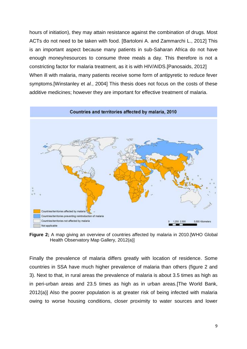hours of initiation), they may attain resistance against the combination of drugs. Most ACTs do not need to be taken with food. [\[Bartoloni](http://www.ncbi.nlm.nih.gov/sites/entrez?cmd=search&db=PubMed&term=%20Bartoloni%20A%5Bauth%5D) A. and [Zammarchi](http://www.ncbi.nlm.nih.gov/sites/entrez?cmd=search&db=PubMed&term=%20Zammarchi%20L%5Bauth%5D) L., 2012] This is an important aspect because many patients in sub-Saharan Africa do not have enough money/resources to consume three meals a day. This therefore is not a constricting factor for malaria treatment, as it is with HIV/AIDS.[Panosaids, 2012] When ill with malaria, many patients receive some form of antipyretic to reduce fever symptoms.[Winstanley et *al.*, 2004] This thesis does not focus on the costs of these additive medicines; however they are important for effective treatment of malaria.



**Figure 2;** A map giving an overview of countries affected by malaria in 2010.[WHO Global Health Observatory Map Gallery, 2012(a)]

Finally the prevalence of malaria differs greatly with location of residence. Some countries in SSA have much higher prevalence of malaria than others (figure 2 and 3). Next to that, in rural areas the prevalence of malaria is about 3.5 times as high as in peri-urban areas and 23.5 times as high as in urban areas.[The World Bank, 2012(a)] Also the poorer population is at greater risk of being infected with malaria owing to worse housing conditions, closer proximity to water sources and lower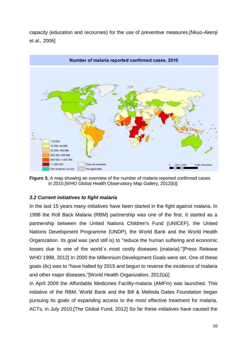capacity (education and recourses) for the use of preventive measures.[Nkuo-Akenji et *al.,* 2006]



**Figure 3;** A map showing an overview of the number of malaria reported confirmed cases in 2010.[WHO Global Health Observatory Map Gallery, 2012(b)]

## *3.2 Current initiatives to fight malaria*

In the last 15 years many initiatives have been started in the fight against malaria. In 1998 the Roll Back Malaria (RBM) partnership was one of the first. It started as a partnership between [the](http://en.wikipedia.org/wiki/WHO) United Nations Children's Fund (UNICEF), the United Nations Development Programme (UNDP), the World Bank and the World Health Organization. Its goal was (and still is) to "reduce the human suffering and economic losses due to one of the world`s most costly diseases (malaria)."[Press Release WHO 1998, 2012] In 2000 the Millennium Development Goals were set. One of these goals (6c) was to "have halted by 2015 and begun to reverse the incidence of malaria and other major diseases."[World Health Organization, 2012(a)]

In April 2009 the Affordable Medicines Facility-malaria (AMFm) was launched. This initiative of the RBM, World Bank and the Bill & Melinda Gates Foundation began pursuing its goals of expanding access to the most effective treatment for malaria, ACTs, in July 2010.[The Global Fund, 2012] So far these initiatives have caused the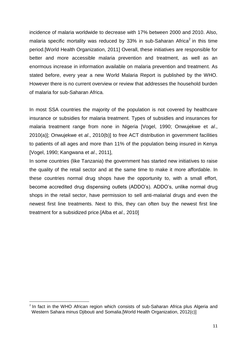incidence of malaria worldwide to decrease with 17% between 2000 and 2010. Also, malaria specific mortality was reduced by 33% in sub-Saharan Africa<sup>2</sup> in this time period.[World Health Organization, 2011] Overall, these initiatives are responsible for better and more accessible malaria prevention and treatment, as well as an enormous increase in information available on malaria prevention and treatment. As stated before, every year a new World Malaria Report is published by the WHO. However there is no current overview or review that addresses the household burden of malaria for sub-Saharan Africa.

In most SSA countries the majority of the population is not covered by healthcare insurance or subsidies for malaria treatment. Types of subsidies and insurances for malaria treatment range from none in Nigeria [Vogel, 1990; Onwujekwe et *al*., 2010(a)]; Onwujekwe et *al*., 2010(b)] to free ACT distribution in government facilities to patients of all ages and more than 11% of the population being insured in Kenya [Vogel, 1990; Kangwana et *al*., 2011],

In some countries (like Tanzania) the government has started new initiatives to raise the quality of the retail sector and at the same time to make it more affordable. In these countries normal drug shops have the opportunity to, with a small effort, become accredited drug dispensing outlets (ADDO's). ADDO's, unlike normal drug shops in the retail sector, have permission to sell anti-malarial drugs and even the newest first line treatments. Next to this, they can often buy the newest first line treatment for a subsidized price.[Alba et *al.,* 2010]

l

 $2$  In fact in the WHO African region which consists of sub-Saharan Africa plus Algeria and xWestern Sahara minus Djibouti and Somalia.[World Health Organization, 2012(c)]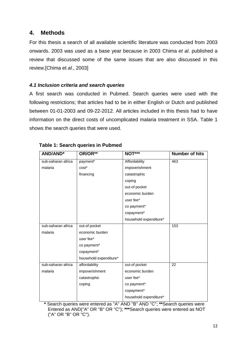## **4. Methods**

For this thesis a search of all available scientific literature was conducted from 2003 onwards. 2003 was used as a base year because in 2003 Chima *et al.* published a review that discussed some of the same issues that are also discussed in this review.[Chima et *al.*, 2003]

## *4.1 Inclusion criteria and search queries*

A first search was conducted in Pubmed. Search queries were used with the following restrictions; that articles had to be in either English or Dutch and published between 01-01-2003 and 09-22-2012. All articles included in this thesis had to have information on the direct costs of uncomplicated malaria treatment in SSA. Table 1 shows the search queries that were used.

| <b>AND/AND*</b>    | OR/OR**                | NOT***                 | <b>Number of hits</b> |
|--------------------|------------------------|------------------------|-----------------------|
| sub-saharan africa | payment*               | Affordability          | 463                   |
| malaria            | cost*                  | impoverishment         |                       |
|                    | financing              | catastrophic           |                       |
|                    |                        | coping                 |                       |
|                    |                        | out-of pocket          |                       |
|                    |                        | economic burden        |                       |
|                    |                        | user fee*              |                       |
|                    |                        | co payment*            |                       |
|                    |                        | copayment*             |                       |
|                    |                        | household expenditure* |                       |
| sub-saharan africa | out-of pocket          |                        | 153                   |
| malaria            | economic burden        |                        |                       |
|                    | user fee*              |                        |                       |
|                    | co payment*            |                        |                       |
|                    | copayment*             |                        |                       |
|                    | household expenditure* |                        |                       |
| sub-saharan africa | affordability          | out-of pocket          | $\overline{22}$       |
| malaria            | impoverishment         | economic burden        |                       |
|                    | catastrophic           | user fee*              |                       |
|                    | coping                 | co payment*            |                       |
|                    |                        | copayment*             |                       |
|                    |                        | household expenditure* |                       |

## **Table 1: Search queries in Pubmed**

**\*** Search queries were entered as "A" AND "B" AND "C"; **\*\***Search queries were Entered as AND("A" OR "B" OR "C"); **\*\*\***Search queries were entered as NOT ("A" OR "B" OR "C").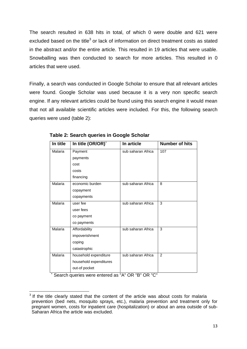The search resulted in 638 hits in total, of which 0 were double and 621 were excluded based on the title<sup>3</sup> or lack of information on direct treatment costs as stated in the abstract and/or the entire article. This resulted in 19 articles that were usable. Snowballing was then conducted to search for more articles. This resulted in 0 articles that were used.

Finally, a search was conducted in Google Scholar to ensure that all relevant articles were found. Google Scholar was used because it is a very non specific search engine. If any relevant articles could be found using this search engine it would mean that not all available scientific articles were included. For this, the following search queries were used (table 2):

| In title | In title (OR/OR)°      | In article         | <b>Number of hits</b> |
|----------|------------------------|--------------------|-----------------------|
| Malaria  | Payment                | sub saharan Africa | 107                   |
|          | payments               |                    |                       |
|          | cost                   |                    |                       |
|          | costs                  |                    |                       |
|          | financing              |                    |                       |
| Malaria  | economic burden        | sub saharan Africa | 8                     |
|          | copayment              |                    |                       |
|          | copayments             |                    |                       |
| Malaria  | user fee               | sub saharan Africa | 3                     |
|          | user fees              |                    |                       |
|          | co payment             |                    |                       |
|          | co payments            |                    |                       |
| Malaria  | Affordability          | sub saharan Africa | 3                     |
|          | impoverishment         |                    |                       |
|          | coping                 |                    |                       |
|          | catastrophic           |                    |                       |
| Malaria  | household expenditure  | sub saharan Africa | $\overline{2}$        |
|          | household expenditures |                    |                       |
|          | out-of pocket          |                    |                       |

 **Table 2: Search queries in Google Scholar**

**˚** Search queries were entered as "A" OR "B" OR "C"

 $\overline{\phantom{a}}$  $3$  If the title clearly stated that the content of the article was about costs for malaria prevention (bed nets, mosquito sprays, etc.), malaria prevention and treatment only for pregnant women, costs for inpatient care (hospitalization) or about an area outside of sub-Saharan Africa the article was excluded.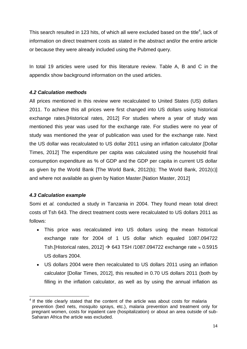This search resulted in 123 hits, of which all were excluded based on the title<sup>4</sup>, lack of information on direct treatment costs as stated in the abstract and/or the entire article or because they were already included using the Pubmed query.

In total 19 articles were used for this literature review. Table A, B and C in the appendix show background information on the used articles.

## *4.2 Calculation methods*

All prices mentioned in this review were recalculated to United States (US) dollars 2011. To achieve this all prices were first changed into US dollars using historical exchange rates.[Historical rates, 2012] For studies where a year of study was mentioned this year was used for the exchange rate. For studies were no year of study was mentioned the year of publication was used for the exchange rate. Next the US dollar was recalculated to US dollar 2011 using an inflation calculator.[Dollar Times, 2012] The expenditure per capita was calculated using the household final consumption expenditure as % of GDP and the GDP per capita in current US dollar as given by the World Bank [The World Bank, 2012(b); The World Bank, 2012(c)] and where not available as given by Nation Master.[Nation Master, 2012]

## *4.3 Calculation example*

 $\overline{a}$ 

Somi et *al.* conducted a study in Tanzania in 2004. They found mean total direct costs of Tsh 643. The direct treatment costs were recalculated to US dollars 2011 as follows:

- This price was recalculated into US dollars using the mean historical exchange rate for 2004 of 1 US dollar which equaled 1087.094722 Tsh.[Historical rates, 2012]  $\rightarrow$  643 TSH /1087.094722 exchange rate  $\approx 0.5915$ US dollars 2004.
- US dollars 2004 were then recalculated to US dollars 2011 using an inflation calculator [Dollar Times, 2012], this resulted in 0.70 US dollars 2011 (both by filling in the inflation calculator, as well as by using the annual inflation as

<sup>4</sup> If the title clearly stated that the content of the article was about costs for malaria prevention (bed nets, mosquito sprays, etc.), malaria prevention and treatment only for xpregnant women, costs for inpatient care (hospitalization) or about an area outside of sub-Saharan Africa the article was excluded.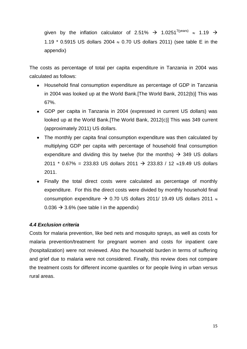given by the inflation calculator of 2.51%  $\rightarrow$  1.0251<sup>7(years)</sup>  $\approx$  1.19  $\rightarrow$ 1.19  $*$  0.5915 US dollars 2004  $\approx$  0.70 US dollars 2011) (see table E in the appendix)

The costs as percentage of total per capita expenditure in Tanzania in 2004 was calculated as follows:

- Household final consumption expenditure as percentage of GDP in Tanzania in 2004 was looked up at the World Bank.[The World Bank, 2012(b)] This was 67%.
- GDP per capita in Tanzania in 2004 (expressed in current US dollars) was looked up at the World Bank.[The World Bank, 2012(c)] This was 349 current (approximately 2011) US dollars.
- The monthly per capita final consumption expenditure was then calculated by multiplying GDP per capita with percentage of household final consumption expenditure and dividing this by twelve (for the months)  $\rightarrow$  349 US dollars 2011 \* 0.67% = 233.83 US dollars 2011  $\rightarrow$  233.83 / 12  $\approx$ 19.49 US dollars 2011.
- Finally the total direct costs were calculated as percentage of monthly expenditure. For this the direct costs were divided by monthly household final consumption expenditure  $\rightarrow$  0.70 US dollars 2011/ 19.49 US dollars 2011  $\approx$  $0.036 \rightarrow 3.6\%$  (see table I in the appendix)

## *4.4 Exclusion criteria*

Costs for malaria prevention, like bed nets and mosquito sprays, as well as costs for malaria prevention/treatment for pregnant women and costs for inpatient care (hospitalization) were not reviewed. Also the household burden in terms of suffering and grief due to malaria were not considered. Finally, this review does not compare the treatment costs for different income quantiles or for people living in urban versus rural areas.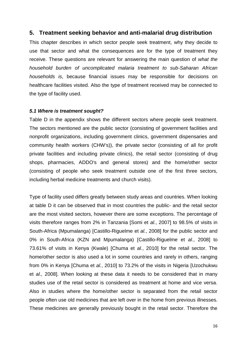## **5. Treatment seeking behavior and anti-malarial drug distribution**

This chapter describes in which sector people seek treatment, why they decide to use that sector and what the consequences are for the type of treatment they receive. These questions are relevant for answering the main question of *what the household burden of uncomplicated malaria treatment to sub-Saharan African households is*, because financial issues may be responsible for decisions on healthcare facilities visited. Also the type of treatment received may be connected to the type of facility used.

#### *5.1 Where is treatment sought?*

Table D in the appendix shows the different sectors where people seek treatment. The sectors mentioned are the public sector (consisting of government facilities and nonprofit organizations, including government clinics, government dispensaries and community health workers (CHW's)), the private sector (consisting of all for profit private facilities and including private clinics), the retail sector (consisting of drug shops, pharmacies, ADDO's and general stores) and the home/other sector (consisting of people who seek treatment outside one of the first three sectors, including herbal medicine treatments and church visits).

Type of facility used differs greatly between study areas and countries. When looking at table D it can be observed that in most countries the public- and the retail sector are the most visited sectors, however there are some exceptions. The percentage of visits therefore ranges from 2% in Tanzania [Somi et *al.*, 2007] to 98.5% of visits in South-Africa (Mpumalanga) [Castillo-Riguelme et *al.*, 2008] for the public sector and 0% in South-Africa (KZN and Mpumalanga) [Castillo-Riguelme et *al.*, 2008] to 73.61% of visits in Kenya (Kwale) [Chuma et *al.*, 2010] for the retail sector. The home/other sector is also used a lot in some countries and rarely in others, ranging from 0% in Kenya [Chuma et *al.*, 2010] to 73.2% of the visits in Nigeria [Uzochukwu et *al.,* 2008]. When looking at these data it needs to be considered that in many studies use of the retail sector is considered as treatment at home and vice versa. Also in studies where the home/other sector is separated from the retail sector people often use old medicines that are left over in the home from previous illnesses. These medicines are generally previously bought in the retail sector. Therefore the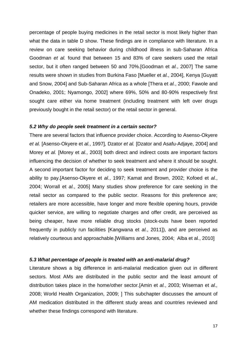percentage of people buying medicines in the retail sector is most likely higher than what the data in table D show. These findings are in compliance with literature. In a review on care seeking behavior during childhood illness in sub-Saharan Africa Goodman *et al.* found that between 15 and 83% of care seekers used the retail sector, but it often ranged between 50 and 70%.[Goodman et *al.*, 2007] The same results were shown in studies from Burkina Faso [Mueller et *al.*, 2004], Kenya [Guyatt and Snow, 2004] and Sub-Saharan Africa as a whole [Thera et *al.*, 2000; Fawole and Onadeko, 2001; Nyamongo, 2002] where 69%, 50% and 80-90% respectively first sought care either via home treatment (including treatment with left over drugs previously bought in the retail sector) or the retail sector in general.

#### *5.2 Why do people seek treatment in a certain sector?*

There are several factors that influence provider choice. According to Asenso-Okyere *et al.* [Asenso-Okyere et *al.*, 1997]*,* Dzator *et al.* [Dzator and Asafu-Adjaye, 2004] and Morey *et al.* [Morey et *al.*, 2003] both direct and indirect costs are important factors influencing the decision of whether to seek treatment and where it should be sought. A second important factor for deciding to seek treatment and provider choice is the ability to pay.[Asenso-Okyere et *al.*, 1997; Kamat and Brown, 2002; Kofoed et *al.*, 2004; Worrall et *al.*, 2005] Many studies show preference for care seeking in the retail sector as compared to the public sector. Reasons for this preference are; retailers are more accessible, have longer and more flexible opening hours, provide quicker service, are willing to negotiate charges and offer credit, are perceived as being cheaper, have more reliable drug stocks (stock-outs have been reported frequently in publicly run facilities [Kangwana et *al.*, 2011]), and are perceived as relatively courteous and approachable.[Williams and Jones, 2004; Alba et al., 2010]

#### *5.3 What percentage of people is treated with an anti-malarial drug?*

Literature shows a big difference in anti-malarial medication given out in different sectors. Most AMs are distributed in the public sector and the least amount of distribution takes place in the home/other sector.[Amin et *al.*, 2003; Wiseman et *al.,* 2008; World Health Organization, 2009; ] This subchapter discusses the amount of AM medication distributed in the different study areas and countries reviewed and whether these findings correspond with literature.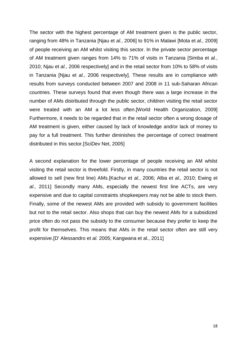The sector with the highest percentage of AM treatment given is the public sector, ranging from 48% in Tanzania [Njau et *al.*, 2006] to 91% in Malawi [Mota et *al.,* 2009] of people receiving an AM whilst visiting this sector. In the private sector percentage of AM treatment given ranges from 14% to 71% of visits in Tanzania [Simba et *al.*, 2010; Njau et *al.*, 2006 respectively] and in the retail sector from 10% to 58% of visits in Tanzania [Njau et *al.*, 2006 respectively]. These results are in compliance with results from surveys conducted between 2007 and 2008 in 11 sub-Saharan African countries. These surveys found that even though there was a large increase in the number of AMs distributed through the public sector, children visiting the retail sector were treated with an AM a lot less often.[World Health Organization, 2009] Furthermore, it needs to be regarded that in the retail sector often a wrong dosage of AM treatment is given, either caused by lack of knowledge and/or lack of money to pay for a full treatment. This further diminishes the percentage of correct treatment distributed in this sector.[SciDev Net, 2005]

A second explanation for the lower percentage of people receiving an AM whilst visiting the retail sector is threefold. Firstly, in many countries the retail sector is not allowed to sell (new first line) AMs.[Kachur et *al.*, 2006; Alba et *al.,* 2010; Ewing et *al.,* 2011] Secondly many AMs, especially the newest first line ACTs, are very expensive and due to capital constraints shopkeepers may not be able to stock them. Finally, some of the newest AMs are provided with subsidy to government facilities but not to the retail sector. Also shops that can buy the newest AMs for a subsidized price often do not pass the subsidy to the consumer because they prefer to keep the profit for themselves. This means that AMs in the retail sector often are still very expensive.[D' Alessandro et *al.* 2005; Kangwana et al., 2011]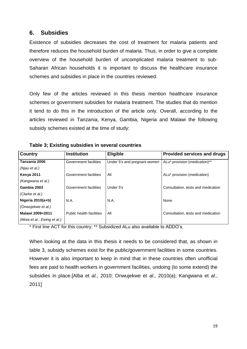## **6. Subsidies**

Existence of subsidies decreases the cost of treatment for malaria patients and therefore reduces the household burden of malaria. Thus, in order to give a complete overview of the household burden of uncomplicated malaria treatment to sub-Saharan African households it is important to discuss the healthcare insurance schemes and subsidies in place in the countries reviewed.

Only few of the articles reviewed in this thesis mention healthcare insurance schemes or government subsidies for malaria treatment. The studies that do mention it tend to do this in the introduction of the article only. Overall, according to the articles reviewed in Tanzania, Kenya, Gambia, Nigeria and Malawi the following subsidy schemes existed at the time of study:

| <b>Country</b>              | <b>Institution</b>       | <b>Eligible</b>              | Provided services and drugs             |
|-----------------------------|--------------------------|------------------------------|-----------------------------------------|
| Tanzania 2006               | Government facilities    | Under 5's and pregnant women | ALu* provision (medication)**           |
| (Njau et al.)               |                          |                              |                                         |
| <b>Kenya 2011</b>           | Government facilities    | All                          | ALu <sup>*</sup> provision (medication) |
| (Kangwana et al.)           |                          |                              |                                         |
| Gambia 2003                 | Government facilities    | Under 5's                    | Consultation, tests and medication      |
| (Clarke et al.)             |                          |                              |                                         |
| Nigeria 2010(a+b)           | N.A.                     | N.A.                         | None                                    |
| (Onwujekwe et al.)          |                          |                              |                                         |
| Malawi 2009+2011            | Public health facilities | All                          | Consultation, tests and medication      |
| (Mota et al.; Ewing et al.) |                          |                              |                                         |
|                             |                          |                              |                                         |

**Table 3; Existing subsidies in several countries**

\* First line ACT for this country; \*\* Subsidized ALu also available to ADDO's.

When looking at the data in this thesis it needs to be considered that, as shown in table 3, subsidy schemes exist for the public/government facilities in some countries. However it is also important to keep in mind that in these countries often unofficial fees are paid to health workers in government facilities, undoing (to some extend) the subsidies in place.[Alba et *al.,* 2010; Onwujekwe et *al.,* 2010(a); Kangwana et *al.*, 2011]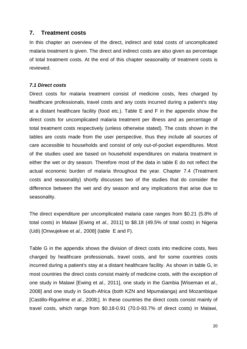## **7. Treatment costs**

In this chapter an overview of the direct, indirect and total costs of uncomplicated malaria treatment is given. The direct and indirect costs are also given as percentage of total treatment costs. At the end of this chapter seasonality of treatment costs is reviewed.

#### *7.1 Direct costs*

Direct costs for malaria treatment consist of medicine costs, fees charged by healthcare professionals, travel costs and any costs incurred during a patient's stay at a distant healthcare facility (food etc.). Table E and F in the appendix show the direct costs for uncomplicated malaria treatment per illness and as percentage of total treatment costs respectively (unless otherwise stated). The costs shown in the tables are costs made from the user perspective, thus they include all sources of care accessible to households and consist of only out-of-pocket expenditures. Most of the studies used are based on household expenditures on malaria treatment in either the wet or dry season. Therefore most of the data in table E do not reflect the actual economic burden of malaria throughout the year. Chapter 7.4 (Treatment costs and seasonality) shortly discusses two of the studies that do consider the difference between the wet and dry season and any implications that arise due to seasonality.

The direct expenditure per uncomplicated malaria case ranges from \$0.21 (5.8% of total costs) in Malawi [Ewing et *al.,* 2011] to \$8.18 (49.5% of total costs) in Nigeria (Udi) [Onwujekwe et *al.,* 2008] (table E and F).

Table G in the appendix shows the division of direct costs into medicine costs, fees charged by healthcare professionals, travel costs, and for some countries costs incurred during a patient's stay at a distant healthcare facility. As shown in table G, in most countries the direct costs consist mainly of medicine costs, with the exception of one study in Malawi [Ewing et *al.,* 2011], one study in the Gambia [Wiseman et *al*., 2008] and one study in South-Africa (both KZN and Mpumalanga) and Mozambique [Castillo-Riguelme et *al.*, 2008;]. In these countries the direct costs consist mainly of travel costs, which range from \$0.18-0.91 (70.0-93.7% of direct costs) in Malawi,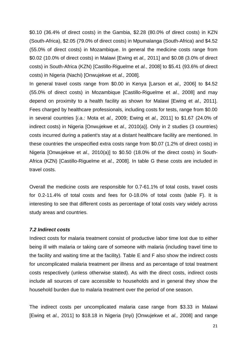\$0.10 (36.4% of direct costs) in the Gambia, \$2.28 (80.0% of direct costs) in KZN (South-Africa), \$2.05 (79.0% of direct costs) in Mpumalanga (South-Africa) and \$4.52 (55.0% of direct costs) in Mozambique. In general the medicine costs range from \$0.02 (10.0% of direct costs) in Malawi [Ewing et *al.,* 2011] and \$0.08 (3.0% of direct costs) in South-Africa (KZN) [Castillo-Riguelme et *al.*, 2008] to \$5.41 (93.6% of direct costs) in Nigeria (Nachi) [Onwujekwe et *al.,* 2008].

In general travel costs range from \$0.00 in Kenya [Larson et *al.,* 2006] to \$4.52 (55.0% of direct costs) in Mozambique [Castillo-Riguelme et *al.*, 2008] and may depend on proximity to a health facility as shown for Malawi [Ewing et *al.,* 2011]. Fees charged by healthcare professionals, including costs for tests, range from \$0.00 in several countries [*i.a.:* Mota et *al.,* 2009; Ewing et *al.,* 2011] to \$1.67 (24.0% of indirect costs) in Nigeria [Onwujekwe et *al.,* 2010(a)]. Only in 2 studies (3 countries) costs incurred during a patient's stay at a distant healthcare facility are mentioned. In these countries the unspecified extra costs range from \$0.07 (1.2% of direct costs) in Nigeria [Onwujekwe et *al.,* 2010(a)] to \$0.50 (18.0% of the direct costs) in South-Africa (KZN) [Castillo-Riguelme et *al.*, 2008]. In table G these costs are included in travel costs.

Overall the medicine costs are responsible for 0.7-61.1% of total costs, travel costs for 0.2-11.4% of total costs and fees for 0-18.0% of total costs (table F). It is interesting to see that different costs as percentage of total costs vary widely across study areas and countries.

#### *7.2 Indirect costs*

Indirect costs for malaria treatment consist of productive labor time lost due to either being ill with malaria or taking care of someone with malaria (including travel time to the facility and waiting time at the facility). Table E and F also show the indirect costs for uncomplicated malaria treatment per illness and as percentage of total treatment costs respectively (unless otherwise stated). As with the direct costs, indirect costs include all sources of care accessible to households and in general they show the household burden due to malaria treatment over the period of one season.

The indirect costs per uncomplicated malaria case range from \$3.33 in Malawi [Ewing et *al.,* 2011] to \$18.18 in Nigeria (Inyi) [Onwujekwe et *al.,* 2008] and range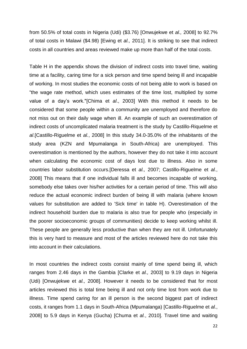from 50.5% of total costs in Nigeria (Udi) (\$3.76) [Onwujekwe et *al.,* 2008] to 92.7% of total costs in Malawi (\$4.98) [Ewing et *al.,* 2011]. It is striking to see that indirect costs in all countries and areas reviewed make up more than half of the total costs.

Table H in the appendix shows the division of indirect costs into travel time, waiting time at a facility, caring time for a sick person and time spend being ill and incapable of working. In most studies the economic costs of not being able to work is based on "the wage rate method, which uses estimates of the time lost, multiplied by some value of a day's work."[Chima et *al*., 2003] With this method it needs to be considered that some people within a community are unemployed and therefore do not miss out on their daily wage when ill. An example of such an overestimation of indirect costs of uncomplicated malaria treatment is the study by [Castillo-Riquelme et](http://www-ncbi-nlm-nih-gov.proxy.library.uu.nl/pubmed?term=Castillo-Riquelme%20M%5BAuthor%5D&cauthor=true&cauthor_uid=18291009) *[al](http://www-ncbi-nlm-nih-gov.proxy.library.uu.nl/pubmed?term=Castillo-Riquelme%20M%5BAuthor%5D&cauthor=true&cauthor_uid=18291009)*.[Castillo-Riguelme et *al.*, 2008] In this study 34.0-35.0% of the inhabitants of the study area (KZN and Mpumalanga in South-Africa) are unemployed. This overestimation is mentioned by the authors, however they do not take it into account when calculating the economic cost of days lost due to illness. Also in some countries labor substitution occurs.[Deressa et *al.,* 2007; Castillo-Riguelme et *al.*, 2008] This means that if one individual falls ill and becomes incapable of working, somebody else takes over his/her activities for a certain period of time. This will also reduce the actual economic indirect burden of being ill with malaria (where known values for substitution are added to 'Sick time' in table H). Overestimation of the indirect household burden due to malaria is also true for people who (especially in the poorer socioeconomic groups of communities) decide to keep working whilst ill. These people are generally less productive than when they are not ill. Unfortunately this is very hard to measure and most of the articles reviewed here do not take this into account in their calculations.

In most countries the indirect costs consist mainly of time spend being ill, which ranges from 2.46 days in the Gambia [Clarke et *al.,* 2003] to 9.19 days in Nigeria (Udi) [Onwujekwe et *al.,* 2008]. However it needs to be considered that for most articles reviewed this is total time being ill and not only time lost from work due to illness. Time spend caring for an ill person is the second biggest part of indirect costs, it ranges from 1.1 days in South-Africa (Mpumalanga) [Castillo-Riguelme et *al.*, 2008] to 5.9 days in Kenya (Gucha) [Chuma et *al.*, 2010]. Travel time and waiting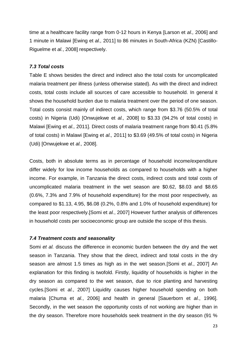time at a healthcare facility range from 0-12 hours in Kenya [Larson et *al.,* 2006] and 1 minute in Malawi [Ewing et *al.,* 2011] to 86 minutes in South-Africa (KZN) [Castillo-Riguelme et *al.*, 2008] respectively.

### *7.3 Total costs*

Table E shows besides the direct and indirect also the total costs for uncomplicated malaria treatment per illness (unless otherwise stated). As with the direct and indirect costs, total costs include all sources of care accessible to household. In general it shows the household burden due to malaria treatment over the period of one season. Total costs consist mainly of indirect costs, which range from \$3.76 (50.5% of total costs) in Nigeria (Udi) [Onwujekwe et *al.,* 2008] to \$3.33 (94.2% of total costs) in Malawi [Ewing et *al.,* 2011]. Direct costs of malaria treatment range from \$0.41 (5.8% of total costs) in Malawi [Ewing et *al.,* 2011] to \$3.69 (49.5% of total costs) in Nigeria (Udi) [Onwujekwe et *al.,* 2008].

Costs, both in absolute terms as in percentage of household income/expenditure differ widely for low income households as compared to households with a higher income. For example, in Tanzania the direct costs, indirect costs and total costs of uncomplicated malaria treatment in the wet season are \$0.62, \$8.03 and \$8.65 (0.6%, 7.3% and 7.9% of household expenditure) for the most poor respectively, as compared to \$1.13, 4.95, \$6.08 (0.2%, 0.8% and 1.0% of household expenditure) for the least poor respectively.[Somi et *al.*, 2007] However further analysis of differences in household costs per socioeconomic group are outside the scope of this thesis.

## *7.4 Treatment costs and seasonality*

Somi *et al.* discuss the difference in economic burden between the dry and the wet season in Tanzania. They show that the direct, indirect and total costs in the dry season are almost 1.5 times as high as in the wet season.[Somi et *al.*, 2007] An explanation for this finding is twofold. Firstly, liquidity of households is higher in the dry season as compared to the wet season, due to rice planting and harvesting cycles.[Somi et *al.*, 2007] Liquidity causes higher household spending on both malaria [Chuma et *al.*, 2006] and health in general [Sauerborn et *al.*, 1996]. Secondly, in the wet season the opportunity costs of not working are higher than in the dry season. Therefore more households seek treatment in the dry season (91 %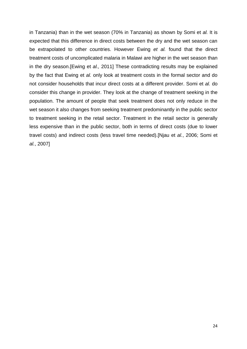in Tanzania) than in the wet season (70% in Tanzania) as shown by Somi et *al.* It is expected that this difference in direct costs between the dry and the wet season can be extrapolated to other countries. However Ewing *et al.* found that the direct treatment costs of uncomplicated malaria in Malawi are higher in the wet season than in the dry season.[Ewing et *al.,* 2011] These contradicting results may be explained by the fact that Ewing et *al.* only look at treatment costs in the formal sector and do not consider households that incur direct costs at a different provider. Somi et *al.* do consider this change in provider. They look at the change of treatment seeking in the population. The amount of people that seek treatment does not only reduce in the wet season it also changes from seeking treatment predominantly in the public sector to treatment seeking in the retail sector. Treatment in the retail sector is generally less expensive than in the public sector, both in terms of direct costs (due to lower travel costs) and indirect costs (less travel time needed).[Njau et *al.*, 2006; Somi et *al.*, 2007]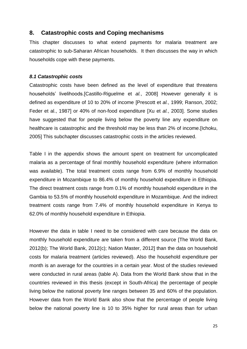## **8. Catastrophic costs and Coping mechanisms**

This chapter discusses to what extend payments for malaria treatment are catastrophic to sub-Saharan African households. It then discusses the way in which households cope with these payments.

#### *8.1 Catastrophic costs*

Catastrophic costs have been defined as the level of expenditure that threatens households' livelihoods.[Castillo-Riguelme et *al.*, 2008] However generally it is defined as expenditure of 10 to 20% of income [Prescott et *al.*, 1999; Ranson, 2002; Feder et al., 1987] or 40% of non-food expenditure [Xu et *al.*, 2003]. Some studies have suggested that for people living below the poverty line any expenditure on healthcare is catastrophic and the threshold may be less than 2% of income.[Ichoku, 2005] This subchapter discusses catastrophic costs in the articles reviewed.

Table I in the appendix shows the amount spent on treatment for uncomplicated malaria as a percentage of final monthly household expenditure (where information was available). The total treatment costs range from 6.9% of monthly household expenditure in Mozambique to 86.4% of monthly household expenditure in Ethiopia. The direct treatment costs range from 0.1% of monthly household expenditure in the Gambia to 53.5% of monthly household expenditure in Mozambique. And the indirect treatment costs range from 7.4% of monthly household expenditure in Kenya to 62.0% of monthly household expenditure in Ethiopia.

However the data in table I need to be considered with care because the data on monthly household expenditure are taken from a different source [The World Bank, 2012(b); The World Bank, 2012(c); Nation Master, 2012] than the data on household costs for malaria treatment (articles reviewed). Also the household expenditure per month is an average for the countries in a certain year. Most of the studies reviewed were conducted in rural areas (table A). Data from the World Bank show that in the countries reviewed in this thesis (except in South-Africa) the percentage of people living below the national poverty line ranges between 35 and 60% of the population. However data from the World Bank also show that the percentage of people living below the national poverty line is 10 to 35% higher for rural areas than for urban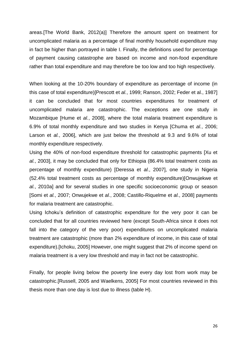areas.[The World Bank, 2012(a)] Therefore the amount spent on treatment for uncomplicated malaria as a percentage of final monthly household expenditure may in fact be higher than portrayed in table I. Finally, the definitions used for percentage of payment causing catastrophe are based on income and non-food expenditure rather than total expenditure and may therefore be too low and too high respectively.

When looking at the 10-20% boundary of expenditure as percentage of income (in this case of total expenditure)[Prescott et *al.*, 1999; Ranson, 2002; Feder et al., 1987] it can be concluded that for most countries expenditures for treatment of uncomplicated malaria are catastrophic. The exceptions are one study in Mozambique [Hume et *al.*, 2008], where the total malaria treatment expenditure is 6.9% of total monthly expenditure and two studies in Kenya [Chuma et *al.*, 2006; Larson et *al.*, 2006], which are just below the threshold at 9.3 and 9.6% of total monthly expenditure respectively.

Using the 40% of non-food expenditure threshold for catastrophic payments [Xu et *al.*, 2003], it may be concluded that only for Ethiopia (86.4% total treatment costs as percentage of monthly expenditure) [Deressa et *al.*, 2007], one study in Nigeria (52.4% total treatment costs as percentage of monthly expenditure)[Onwujekwe et *al.*, 2010a] and for several studies in one specific socioeconomic group or season [Somi et *al.*, 2007; Onwujekwe et *al.*, 2008; [Castillo-Riquelme et](http://www-ncbi-nlm-nih-gov.proxy.library.uu.nl/pubmed?term=Castillo-Riquelme%20M%5BAuthor%5D&cauthor=true&cauthor_uid=18291009) *al.*, 2008] payments for malaria treatment are catastrophic.

Using Ichoku's definition of [catastrophic](http://onlinelibrary.wiley.com.proxy.library.uu.nl/doi/10.1111/j.1365-3156.2009.02418.x/full#b11) expenditure for the very poor it can be concluded that for all countries reviewed here (except [South-Africa](http://onlinelibrary.wiley.com.proxy.library.uu.nl/doi/10.1111/j.1365-3156.2009.02418.x/full#b11) since it does not fall into the category of the very poor) expenditures on [uncomplicated](http://onlinelibrary.wiley.com.proxy.library.uu.nl/doi/10.1111/j.1365-3156.2009.02418.x/full#b11) malaria [treatment](http://onlinelibrary.wiley.com.proxy.library.uu.nl/doi/10.1111/j.1365-3156.2009.02418.x/full#b11) are catastrophic (more than 2% expenditure of income, in this case of total expenditure).[Ichoku, 2005] However, one might suggest that 2% of income spend on malaria treatment is a very low threshold and may in fact not be catastrophic.

Finally, for people living below the poverty line every day lost from work may be catastrophic.[Russell, 2005 and Waelkens, 2005] For most countries reviewed in this thesis more than one day is lost due to illness (table H).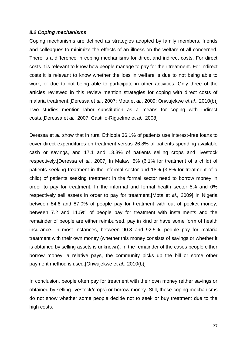#### *8.2 Coping mechanisms*

Coping mechanisms are defined as strategies adopted by family members, friends and colleagues to minimize the effects of an illness on the welfare of all concerned. There is a difference in coping mechanisms for direct and indirect costs. For direct costs it is relevant to know how people manage to pay for their treatment. For indirect costs it is relevant to know whether the loss in welfare is due to not being able to work, or due to not being able to participate in other activities. Only three of the articles reviewed in this review mention strategies for coping with direct costs of malaria treatment.[Deressa et *al.*, 2007; Mota et *al.*, 2009; Onwujekwe et *al.*, 2010(b)] Two studies mention labor substitution as a means for coping with indirect costs.[Deressa et *al.,* 2007; Castillo-Riguelme et *al.*, 2008]

Deressa et *al.* show that in rural Ethiopia 36.1% of patients use interest-free loans to cover direct expenditures on treatment versus 26.8% of patients spending available cash or savings, and 17.1 and 13.3% of patients selling crops and livestock respectively.[Deressa et *al.,* 2007] In Malawi 5% (6.1% for treatment of a child) of patients seeking treatment in the informal sector and 18% (3.8% for treatment of a child) of patients seeking treatment in the formal sector need to borrow money in order to pay for treatment. In the informal and formal health sector 5% and 0% respectively sell assets in order to pay for treatment.[Mota et *al.,* 2009] In Nigeria between 84.6 and 87.0% of people pay for treatment with out of pocket money, between 7.2 and 11.5% of people pay for treatment with installments and the remainder of people are either reimbursed, pay in kind or have some form of health insurance. In most instances, between 90.8 and 92.5%, people pay for malaria treatment with their own money (whether this money consists of savings or whether it is obtained by selling assets is unknown). In the remainder of the cases people either borrow money, a relative pays, the community picks up the bill or some other payment method is used.[Onwujekwe et *al.,* 2010(b)]

In conclusion, people often pay for treatment with their own money (either savings or obtained by selling livestock/crops) or borrow money. Still, these coping mechanisms do not show whether some people decide not to seek or buy treatment due to the high costs.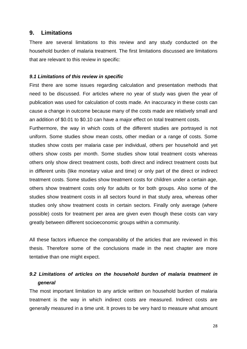## **9. Limitations**

There are several limitations to this review and any study conducted on the household burden of malaria treatment. The first limitations discussed are limitations that are relevant to this review in specific:

#### *9.1 Limitations of this review in specific*

First there are some issues regarding calculation and presentation methods that need to be discussed. For articles where no year of study was given the year of publication was used for calculation of costs made. An inaccuracy in these costs can cause a change in outcome because many of the costs made are relatively small and an addition of \$0.01 to \$0.10 can have a major effect on total treatment costs.

Furthermore, the way in which costs of the different studies are portrayed is not uniform. Some studies show mean costs, other median or a range of costs. Some studies show costs per malaria case per individual, others per household and yet others show costs per month. Some studies show total treatment costs whereas others only show direct treatment costs, both direct and indirect treatment costs but in different units (like monetary value and time) or only part of the direct or indirect treatment costs. Some studies show treatment costs for children under a certain age, others show treatment costs only for adults or for both groups. Also some of the studies show treatment costs in all sectors found in that study area, whereas other studies only show treatment costs in certain sectors. Finally only average (where possible) costs for treatment per area are given even though these costs can vary greatly between different socioeconomic groups within a community.

All these factors influence the comparability of the articles that are reviewed in this thesis. Therefore some of the conclusions made in the next chapter are more tentative than one might expect.

## *9.2 Limitations of articles on the household burden of malaria treatment in xxxgeneral*

The most important limitation to any article written on household burden of malaria treatment is the way in which indirect costs are measured. Indirect costs are generally measured in a time unit. It proves to be very hard to measure what amount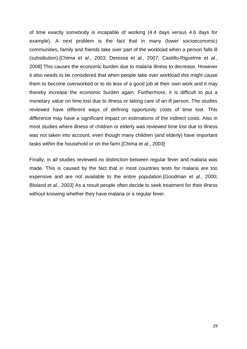of time exactly somebody is incapable of working (4.4 days versus 4.6 days for example). A next problem is the fact that in many (lower socioeconomic) communities, family and friends take over part of the workload when a person falls ill (substitution).[Chima et *al.*, 2003; Deressa et *al.,* 2007; Castillo-Riguelme et *al.*, 2008] This causes the economic burden due to malaria illness to decrease. However it also needs to be considered that when people take over workload this might cause them to become overworked or to do less of a good job at their own work and it may thereby increase the economic burden again. Furthermore, it is difficult to put a monetary value on time lost due to illness or taking care of an ill person. The studies reviewed have different ways of defining opportunity costs of time lost. This difference may have a significant impact on estimations of the indirect costs. Also in most studies where illness of children or elderly was reviewed time lost due to illness was not taken into account, even though many children (and elderly) have important tasks within the household or on the farm.[Chima et *al.*, 2003]

Finally, in all studies reviewed no distinction between regular fever and malaria was made. This is caused by the fact that in most countries tests for malaria are too expensive and are not available to the entire population.[Goodman et *al.*, 2000; Bloland et *al.*, 2003] As a result people often decide to seek treatment for their illness without knowing whether they have malaria or a regular fever.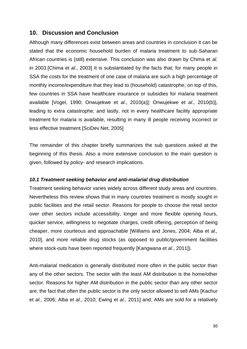## **10. Discussion and Conclusion**

Although many differences exist between areas and countries in conclusion it can be stated that the economic household burden of malaria treatment to sub-Saharan African countries is (still) extensive. This conclusion was also drawn by Chima et *al.* in 2003.[Chima et *al.*, 2003] It is substantiated by the facts that; for many people in SSA the costs for the treatment of one case of malaria are such a high percentage of monthly income/expenditure that they lead to (household) catastrophe; on top of this, few countries in SSA have healthcare insurance or subsidies for malaria treatment available [Vogel, 1990; Onwujekwe et *al*., 2010(a)]; Onwujekwe et *al*., 2010(b)], leading to extra catastrophe; and lastly, not in every healthcare facility appropriate treatment for malaria is available, resulting in many ill people receiving incorrect or less effective treatment.[SciDev Net, 2005]

The remainder of this chapter briefly summarizes the sub questions asked at the beginning of this thesis. Also a more extensive conclusion to the main question is given, followed by policy- and research implications.

#### *10.1 Treatment seeking behavior and anti-malarial drug distribution*

Treatment seeking behavior varies widely across different study areas and countries. Nevertheless this review shows that in many countries treatment is mostly sought in public facilities and the retail sector. Reasons for people to choose the retail sector over other sectors include accessibility, longer and more flexible opening hours, quicker service, willingness to negotiate charges, credit offering, perception of being cheaper, more courteous and approachable [Williams and Jones, 2004; Alba et *al.,* 2010], and more reliable drug stocks (as opposed to public/government facilities where stock-outs have been reported frequently [Kangwana et *al.*, 2011]).

Anti-malarial medication is generally distributed more often in the public sector than any of the other sectors. The sector with the least AM distribution is the home/other sector. Reasons for higher AM distribution in the public sector than any other sector are; the fact that often the public sector is the only sector allowed to sell AMs [Kachur et *al.*, 2006; Alba et *al.,* 2010; Ewing et *al.,* 2011] and; AMs are sold for a relatively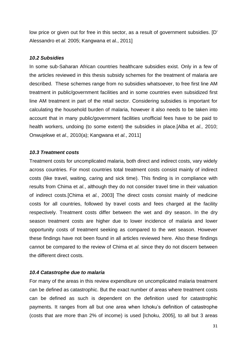low price or given out for free in this sector, as a result of government subsidies. [D' Alessandro et *al.* 2005; Kangwana et al., 2011]

#### *10.2 Subsidies*

In some sub-Saharan African countries healthcare subsidies exist. Only in a few of the articles reviewed in this thesis subsidy schemes for the treatment of malaria are described. These schemes range from no subsidies whatsoever, to free first line AM treatment in public/government facilities and in some countries even subsidized first line AM treatment in part of the retail sector. Considering subsidies is important for calculating the household burden of malaria, however it also needs to be taken into account that in many public/government facilities unofficial fees have to be paid to health workers, undoing (to some extent) the subsidies in place.[Alba et *al.,* 2010; Onwujekwe et *al.,* 2010(a); Kangwana et *al.*, 2011]

#### *10.3 Treatment costs*

Treatment costs for uncomplicated malaria, both direct and indirect costs, vary widely across countries. For most countries total treatment costs consist mainly of indirect costs (like travel, waiting, caring and sick time). This finding is in compliance with results from Chima et *al.*, although they do not consider travel time in their valuation of indirect costs.[Chima et *al.*, 2003] The direct costs consist mainly of medicine costs for all countries, followed by travel costs and fees charged at the facility respectively. Treatment costs differ between the wet and dry season. In the dry season treatment costs are higher due to lower incidence of malaria and lower opportunity costs of treatment seeking as compared to the wet season. However these findings have not been found in all articles reviewed here. Also these findings cannot be compared to the review of Chima et *al.* since they do not discern between the different direct costs.

#### *10.4 Catastrophe due to malaria*

For many of the areas in this review expenditure on uncomplicated malaria treatment can be defined as catastrophic. But the exact number of areas where treatment costs can be defined as such is dependent on the definition used for catastrophic payments. It ranges from all but one area when Ichoku's definition of catastrophe (costs that are more than 2% of income) is used [Ichoku, 2005], to all but 3 areas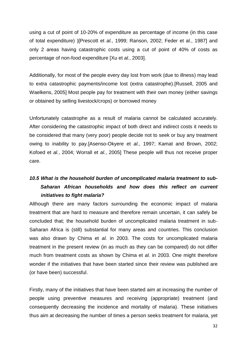using a cut of point of 10-20% of expenditure as percentage of income (in this case of total expenditure) )[Prescott et *al.*, 1999; Ranson, 2002; Feder et al., 1987] and only 2 areas having catastrophic costs using a cut of point of 40% of costs as percentage of non-food expenditure [Xu et *al.*, 2003].

Additionally, for most of the people every day lost from work (due to illness) may lead to extra catastrophic payments/income lost (extra catastrophe).[Russell, 2005 and Waelkens, 2005] Most people pay for treatment with their own money (either savings or obtained by selling livestock/crops) or borrowed money

Unfortunately catastrophe as a result of malaria cannot be calculated accurately. After considering the catastrophic impact of both direct and indirect costs it needs to be considered that many (very poor) people decide not to seek or buy any treatment owing to inability to pay.[Asenso-Okyere et *al.*, 1997; Kamat and Brown, 2002; Kofoed et *al.*, 2004; Worrall et *al.*, 2005] These people will thus not receive proper care.

## *10.5 What is the household burden of uncomplicated malaria treatment to subssssSaharan African households and how does this reflect on current fffffffinitiatives to fight malaria?*

Although there are many factors surrounding the economic impact of malaria treatment that are hard to measure and therefore remain uncertain, it can safely be concluded that; the household burden of uncomplicated malaria treatment in sub-Saharan Africa is (still) substantial for many areas and countries. This conclusion was also drawn by Chima et *al.* in 2003. The costs for uncomplicated malaria treatment in the present review (in as much as they can be compared) do not differ much from treatment costs as shown by Chima et *al.* in 2003. One might therefore wonder if the initiatives that have been started since their review was published are (or have been) successful.

Firstly, many of the initiatives that have been started aim at increasing the number of people using preventive measures and receiving (appropriate) treatment (and consequently decreasing the incidence and mortality of malaria). These initiatives thus aim at decreasing the number of times a person seeks treatment for malaria, yet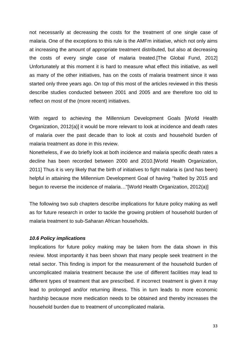not necessarily at decreasing the costs for the treatment of one single case of malaria. One of the exceptions to this rule is the AMFm initiative, which not only aims at increasing the amount of appropriate treatment distributed, but also at decreasing the costs of every single case of malaria treated.[The Global Fund, 2012] Unfortunately at this moment it is hard to measure what effect this initiative, as well as many of the other initiatives, has on the costs of malaria treatment since it was started only three years ago. On top of this most of the articles reviewed in this thesis describe studies conducted between 2001 and 2005 and are therefore too old to reflect on most of the (more recent) initiatives.

With regard to achieving the Millennium Development Goals [World Health Organization, 2012(a)] it would be more relevant to look at incidence and death rates of malaria over the past decade than to look at costs and household burden of malaria treatment as done in this review.

Nonetheless, if we do briefly look at both incidence and malaria specific death rates a decline has been recorded between 2000 and 2010.[World Health Organization, 2011] Thus it is very likely that the birth of initiatives to fight malaria is (and has been) helpful in attaining the Millennium Development Goal of having "halted by 2015 and begun to reverse the incidence of malaria…"[World Health Organization, 2012(a)]

The following two sub chapters describe implications for future policy making as well as for future research in order to tackle the growing problem of household burden of malaria treatment to sub-Saharan African households.

#### *10.6 Policy implications*

Implications for future policy making may be taken from the data shown in this review. Most importantly it has been shown that many people seek treatment in the retail sector. This finding is import for the measurement of the household burden of uncomplicated malaria treatment because the use of different facilities may lead to different types of treatment that are prescribed. If incorrect treatment is given it may lead to prolonged and/or returning illness. This in turn leads to more economic hardship because more medication needs to be obtained and thereby increases the household burden due to treatment of uncomplicated malaria.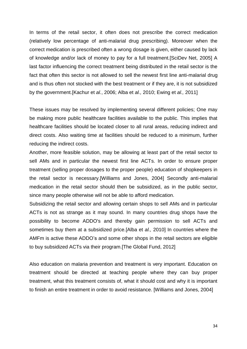In terms of the retail sector, it often does not prescribe the correct medication (relatively low percentage of anti-malarial drug prescribing). Moreover when the correct medication is prescribed often a wrong dosage is given, either caused by lack of knowledge and/or lack of money to pay for a full treatment.[SciDev Net, 2005] A last factor influencing the correct treatment being distributed in the retail sector is the fact that often this sector is not allowed to sell the newest first line anti-malarial drug and is thus often not stocked with the best treatment or if they are, it is not subsidized by the government.[Kachur et *al.*, 2006; Alba et *al.,* 2010; Ewing et *al.,* 2011]

These issues may be resolved by implementing several different policies; One may be making more public healthcare facilities available to the public. This implies that healthcare facilities should be located closer to all rural areas, reducing indirect and direct costs. Also waiting time at facilities should be reduced to a minimum, further reducing the indirect costs.

Another, more feasible solution, may be allowing at least part of the retail sector to sell AMs and in particular the newest first line ACTs. In order to ensure proper treatment (selling proper dosages to the proper people) education of shopkeepers in the retail sector is necessary.[Williams and Jones, 2004] Secondly anti-malarial medication in the retail sector should then be subsidized, as in the public sector, since many people otherwise will not be able to afford medication.

Subsidizing the retail sector and allowing certain shops to sell AMs and in particular ACTs is not as strange as it may sound. In many countries drug shops have the possibility to become ADDO's and thereby gain permission to sell ACTs and sometimes buy them at a subsidized price.[Alba et *al.,* 2010] In countries where the AMFm is active these ADDO's and some other shops in the retail sectors are eligible to buy subsidized ACTs via their program.[The Global Fund, 2012]

Also education on malaria prevention and treatment is very important. Education on treatment should be directed at teaching people where they can buy proper treatment, what this treatment consists of, what it should cost and why it is important to finish an entire treatment in order to avoid resistance. [Williams and Jones, 2004]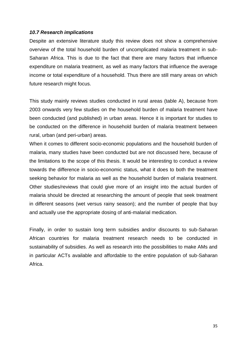#### *10.7 Research implications*

Despite an extensive literature study this review does not show a comprehensive overview of the total household burden of uncomplicated malaria treatment in sub-Saharan Africa. This is due to the fact that there are many factors that influence expenditure on malaria treatment, as well as many factors that influence the average income or total expenditure of a household. Thus there are still many areas on which future research might focus.

This study mainly reviews studies conducted in rural areas (table A), because from 2003 onwards very few studies on the household burden of malaria treatment have been conducted (and published) in urban areas. Hence it is important for studies to be conducted on the difference in household burden of malaria treatment between rural, urban (and peri-urban) areas.

When it comes to different socio-economic populations and the household burden of malaria, many studies have been conducted but are not discussed here, because of the limitations to the scope of this thesis. It would be interesting to conduct a review towards the difference in socio-economic status, what it does to both the treatment seeking behavior for malaria as well as the household burden of malaria treatment. Other studies/reviews that could give more of an insight into the actual burden of malaria should be directed at researching the amount of people that seek treatment in different seasons (wet versus rainy season); and the number of people that buy and actually use the appropriate dosing of anti-malarial medication.

Finally, in order to sustain long term subsidies and/or discounts to sub-Saharan African countries for malaria treatment research needs to be conducted in sustainability of subsidies. As well as research into the possibilities to make AMs and in particular ACTs available and affordable to the entire population of sub-Saharan Africa.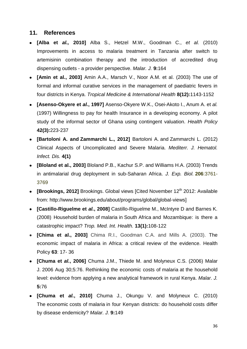## **11. References**

- **[Alba et** *al.,* **2010]** Alba S., Hetzel M.W., Goodman C., *et al.* (2010) Improvements in access to malaria treatment in Tanzania after switch to artemisinin combination therapy and the introduction of accredited drug dispensing outlets - a provider perspective. *Malar. J.* **9:**164
- **[Amin et al., 2003]** Amin A.A., Marsch V., Noor A.M. et al. (2003) The use of formal and informal curative services in the management of paediatric fevers in four districts in Kenya. *Tropical Medicine & International Health* **8(12):**1143-1152
- **[Asenso-Okyere et** *al.***, 1997]** Asenso-Okyere W.K., Osei-Akoto I., Anum A. et *al.* (1997) Willingness to pay for health Insurance in a developing economy. A pilot study of the informal sector of Ghana using contingent valuation. *Health Policy* **42(3):**223-237
- **[\[Bartoloni](http://www.ncbi.nlm.nih.gov/sites/entrez?cmd=search&db=PubMed&term=%20Bartoloni%20A%5Bauth%5D) A. and [Zammarchi](http://www.ncbi.nlm.nih.gov/sites/entrez?cmd=search&db=PubMed&term=%20Zammarchi%20L%5Bauth%5D) L., 2012]** [Bartoloni](http://www.ncbi.nlm.nih.gov/sites/entrez?cmd=search&db=PubMed&term=%20Bartoloni%20A%5Bauth%5D) A. and [Zammarchi](http://www.ncbi.nlm.nih.gov/sites/entrez?cmd=search&db=PubMed&term=%20Zammarchi%20L%5Bauth%5D) L. (2012) Clinical Aspects of Uncomplicated and Severe Malaria. *Mediterr. J. Hematol. Infect. Dis.* **4(1)**
- **[Bloland et al., 2003]** Bloland P.B., Kachur S.P. and Williams H.A. (2003) Trends in antimalarial drug deployment in sub-Saharan Africa. *J. Exp. Biol.* **206**:3761- 3769
- **[Brookings, 2012]** Brookings. Global views [Cited November 12<sup>th</sup> 2012: Available from: http://www.brookings.edu/about/programs/global/global-views]
- **[Castillo-Riguelme et** *al.***, 2008]** Castillo-Riguelme M., McIntyre D and Barnes K. (2008) Household burden of malaria in South Africa [and Mozambique: is there a](http://www-ncbi-nlm-nih-gov.proxy.library.uu.nl/pubmed/18291009)  [catastrophic impact?](http://www-ncbi-nlm-nih-gov.proxy.library.uu.nl/pubmed/18291009) *Trop. Med. Int. Health.* **13(1):**108-122
- **[Chima et al., 2003]** Chima R.I., Goodman C.A. and Mills A. (2003). The economic impact of malaria in Africa: a critical review of the evidence. Health Policy **63**: 17-/36
- **[Chuma et** *al.***, 2006]** Chuma J.M., Thiede M. and Molyneux C.S. (2006) [Malar](http://www-ncbi-nlm-nih-gov.proxy.library.uu.nl/pubmed/16939658)  J. [2006 Aug 30;5:76. Rethinking the economic costs of](http://www-ncbi-nlm-nih-gov.proxy.library.uu.nl/pubmed/16939658) malaria at the household [level: evidence from applying a new analytical framework in rural](http://www-ncbi-nlm-nih-gov.proxy.library.uu.nl/pubmed/16939658) Kenya. *Malar. J.*  **5:**76
- **[Chuma et** *al.***, 2010]** Chuma J., Okungu V. and Molyneux C. (2010) The economic costs of malaria [in four Kenyan districts: do](http://www-ncbi-nlm-nih-gov.proxy.library.uu.nl/pubmed/20515508) household costs differ [by disease endemicity?](http://www-ncbi-nlm-nih-gov.proxy.library.uu.nl/pubmed/20515508) *Malar. J.* **9:**149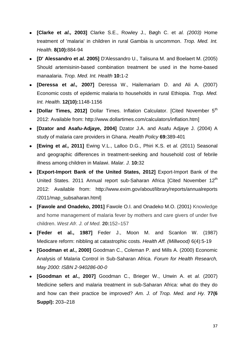- **[Clarke et** *al.,* **2003]** Clarke S.E., Rowley J., Bøgh C. et *al. (2003)* [Home](http://www-ncbi-nlm-nih-gov.proxy.library.uu.nl/pubmed/14516299)  [treatment of 'malaria' in children in rural Gambia is uncommon.](http://www-ncbi-nlm-nih-gov.proxy.library.uu.nl/pubmed/14516299) *Trop. Med. Int. Health.* **8(10):**884-94
- **[D' Alessandro et** *al.* **2005]** D'Alessandro U., Talisuna M. and Boelaert M. (2005) Should artemisinin-based combination treatment be used in the home-based manaalaria. *Trop. Med. Int. Health* **10:**1-2
- **[Deressa et** *al.,* **2007]** Deressa W., Hailemariam D. and Ali A. (2007) Economic costs of epidemic malaria [to households in rural Ethiopia.](http://www-ncbi-nlm-nih-gov.proxy.library.uu.nl/pubmed/17956496) *Trop. Med. Int. Health.* **12(10):**1148-1156
- [Dollar Times, 2012] Dollar Times. Inflation Calculator. [Cited November 5<sup>th</sup> 2012: Available from: [http://www.dollartimes.com/calculators/inflation.htm\]](http://www.dollartimes.com/calculators/inflation.htm)
- **[Dzator and Asafu-Adjaye, 2004]** Dzator J.A. and Asafu Adjaye J. (2004) A study of malaria care providers in Ghana. *Health Policy* **69:**389-401
- **[Ewing et** *al.,* **2011]** Ewing V.L., Lalloo D.G., Phiri K.S. et *al.* (2011) Seasonal and geographic differences in treatment-seeking and household cost of febrile illness among children in Malawi. *Malar. J.* **10:**32
- **[Export-Import Bank of the United States, 2012]** Export-Import Bank of the United States. 2011 Annual report sub-Saharan Africa [Cited November 12<sup>th</sup> 2012: Available from: [http://www.exim.gov/about/library/reports/annualreports](http://www.exim.gov/about/library/reports/annualreports%20/2011/map)  [/2011/map\\_](http://www.exim.gov/about/library/reports/annualreports%20/2011/map)subsaharan.html]
- **IFawole and Onadeko, 20011** Fawole O.I. and Onadeko M.O. (2001) Knowledge and home management of malaria fever by mothers and care givers of under five children. *West Afr. J. of Med.* **20:**152–157
- **[Feder et al., 1987]** Feder J., Moon M. and Scanlon W. (1987) Medicare reform: nibbling at catastrophic costs. *Health Aff. (Millwood)* 6(4):5-19
- **[Goodman et** *al.***, 2000]** Goodman C., Coleman P. and Mills A. (2000) Economic Analysis of Malaria Control in Sub-Saharan Africa. *Forum for Health Research, May 2000: ISBN 2-940286-00-0*
- **[Goodman et** *al.***, 2007]** Goodman C., Brieger W., Unwin A. et *al.* (2007) Medicine sellers and malaria treatment in sub-Saharan Africa: what do they do and how can their practice be improved? *Am. J. of Trop. Med. and Hy.* **77(6 Suppl):** 203–218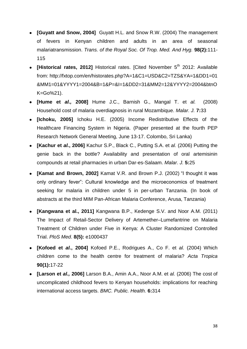- **[Guyatt and Snow, 2004]** Guyatt H.L. and Snow R.W. (2004) The management of fevers in Kenyan children and adults in an area of seasonal malariatransmission. *Trans. of the Royal Soc. Of Trop. Med. And Hyg.* **98(2):**111- 115
- **[Historical rates, 2012]** Historical rates. [Cited November 5<sup>th</sup> 2012: Available from: [http://fxtop.com/en/historates.php?A=1&C1=USD&C2=TZS&YA=1&DD1=](http://fxtop.com/en/historates.php?A=1&C1=USD&C2=TZS&YA=1&DD1)01 &MM1=01&YYYY1=2004&B=1&P=&I=1&DD2=31&MM2=12&YYYY2=2004&btnO K=Go%21).
- **[Hume et** *al.,* **2008]** Hume J.C., Barnish G., Mangal T. et *al.* (2008) Household cost of malaria [overdiagnosis in rural Mozambique.](http://www-ncbi-nlm-nih-gov.proxy.library.uu.nl/pubmed/18282270) *Malar. J.* **7:**33
- **[Ichoku, 2005]** Ichoku H.E. (2005) Income Redistributive Effects of the Healthcare Financing System in Nigeria. (Paper presented at the fourth PEP Research Network General Meeting, June 13-17. Colombo, Sri Lanka)
- **[Kachur et** *al.***, 2006]** Kachur S.P., Black C., Putting S.A. et *al.* (2006) Putting the genie back in the bottle? Availability and presentation of oral artemisinin compounds at retail pharmacies in urban Dar-es-Salaam. *Malar. J.* **5:**25
- **[Kamat and Brown, 2002]** Kamat V.R. and Brown P.J. (2002) "I thought it was only ordinary fever": Cultural knowledge and the microeconomics of treatment seeking for malaria in children under 5 in per-urban Tanzania. (In book of abstracts at the third MIM Pan-African Malaria Conference, Arusa, Tanzania)
- **[Kangwana et al., 2011]** Kangwana B.P., Kedenge S.V. and Noor A.M. (2011) The Impact of Retail-Sector Delivery of Artemether–Lumefantrine on Malaria Treatment of Children under Five in Kenya: A Cluster Randomized Controlled Trial. *PloS Med*. **8(5):** e1000437
- **[Kofoed et** *al.***, 2004]** Kofoed P.E., Rodrigues A., Co F. et *al.* (2004) Which children come to the health centre for treatment of malaria? *Acta Tropica*  **90(1):**17-22
- **[Larson et** *al.,* **2006]** Larson B.A., Amin A.A., Noor A.M. et *al.* (2006) The [cost of](http://www-ncbi-nlm-nih-gov.proxy.library.uu.nl/pubmed/17196105)  [uncomplicated childhood fevers to Kenyan households: implications for reaching](http://www-ncbi-nlm-nih-gov.proxy.library.uu.nl/pubmed/17196105)  [international access targets.](http://www-ncbi-nlm-nih-gov.proxy.library.uu.nl/pubmed/17196105) *BMC. Public. Health.* **6:**314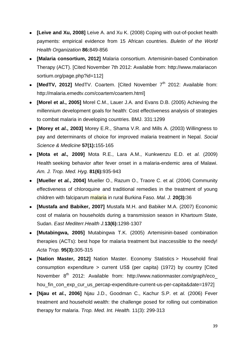- **[Leive and Xu, 2008]** Leive A. and Xu K. (2008) Coping with out-of-pocket health payments: empirical evidence from 15 African countries. *Buletin of the World Health Organization* **86:**849-856
- **[Malaria consortium, 2012]** Malaria consortium. Artemisinin-based Combination Therapy (ACT). [Cited November 7th 2012: Available from: [http://www.malariacon](http://www.malariacon/) sortium.org/page.php?id=112]
- **[MedTV, 2012]** MedTV, Coartem. [Cited November 7<sup>th</sup> 2012: Available from: [http://malaria.emedtv.com/coartem/coartem.html\]](http://malaria.emedtv.com/coartem/coartem.html)
- **[Morel et al., 2005]** Morel C.M., Lauer J.A. and Evans D.B. (2005) Achieving the millennium development goals for health: Cost effectiveness analysis of strategies to combat malaria in developing countries. BMJ. 331:1299
- **[Morey et** *al.***, 2003]** Morey E.R., Shama V.R. and Mills A. (2003) Willingness to pay and determinants of choice for improved malaria treatment in Nepal. *Social Science & Medicine* **57(1):**155-165
- **[Mota et** *al.,* **2009]** Mota R.E., Lara A.M., Kunkwenzu E.D. et *al.* (2009) Health [seeking behavior after fever onset in a](http://www-ncbi-nlm-nih-gov.proxy.library.uu.nl/pubmed/19996420) malaria-endemic area of Malawi. *Am. J. Trop. Med. Hyg.* **81(6):**935-943
- **[Mueller et** *al.***, 2004]** Mueller O., Razum O., Traore C. et *al.* (2004) Community effectiveness of chloroquine and traditional remedies in the treatment of young children with falciparum malaria in rural Burkina Faso. *Mal. J.* **20(3):**36
- **[Mustafa and Babiker, 2007]** Mustafa M.H. and Babiker M.A. (2007) Economic cost of malaria on households during a transmission season in Khartoum State, Sudan. *East Mediterr.Health J.***13(6):**1298-1307
- **[Mutabingwa, 2005]** Mutabingwa T.K. (2005) Artemisinin-based combination therapies (ACTs): best hope for malaria treatment but inaccessible to the needy! *Acta Trop.* **95(3):**305-315
- **[Nation Master, 2012]** Nation Master. [Economy Statistics](http://www.nationmaster.com/cat/eco-economy) > Household final consumption expenditure > current US\$ (per capita) (1972) by country [Cited November 8<sup>th</sup> 2012: Available from: [http://www.nationmaster.com/graph/eco\\_](http://www.nationmaster.com/graph/eco_%20hou_fin_con_exp_cur_us_percap-expenditure-current-us-per-capita&date=1972) [hou\\_fin\\_con\\_exp\\_cur\\_us\\_percap-expenditure-current-us-per-capita&date=1972\]](http://www.nationmaster.com/graph/eco_%20hou_fin_con_exp_cur_us_percap-expenditure-current-us-per-capita&date=1972)
- **[Njau et** *al.***, 2006]** Njau J.D., Goodman C., Kachur S.P. et *al.* (2006) [Fever](http://www-ncbi-nlm-nih-gov.proxy.library.uu.nl/pubmed/16553910)  treatment and household [wealth: the challenge posed for rolling out combination](http://www-ncbi-nlm-nih-gov.proxy.library.uu.nl/pubmed/16553910)  [therapy for malaria.](http://www-ncbi-nlm-nih-gov.proxy.library.uu.nl/pubmed/16553910) *Trop. Med. Int. Health.* 11(3): 299-313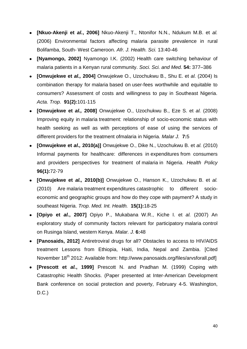- **[Nkuo-Akenji et** *al.***, 2006]** Nkuo-Akenji T., Ntonifor N.N., Ndukum M.B. et *al.* (2006) Environmental factors affecting malaria parasite prevalence in rural Bolifamba, South- West Cameroon. *Afr. J. Health. Sci.* 13:40-46
- **[Nyamongo, 2002]** Nyamongo I.K. (2002) Health care switching behaviour of malaria patients in a Kenyan rural community. *Soci. Sci. and Med.* **54:** 377–386
- **[Onwujekwe et** *al.,* **2004]** Onwujekwe O., Uzochukwu B., Shu E. et *al.* (2004) [Is](http://www-ncbi-nlm-nih-gov.proxy.library.uu.nl/pubmed/15234659) combination therapy for malaria based on [user-fees worthwhile and equitable to](http://www-ncbi-nlm-nih-gov.proxy.library.uu.nl/pubmed/15234659)  [consumers? Assessment of costs and willingness to pay in Southeast Nigeria.](http://www-ncbi-nlm-nih-gov.proxy.library.uu.nl/pubmed/15234659) *Acta. Trop.* **91(2):**101-115
- **[Onwujekwe et** *al.,* **2008]** Onwujekwe O., Uzochukwu B., Eze S. et *al.* (2008) Improving equity in malaria [treatment: relationship of socio-economic status with](http://www-ncbi-nlm-nih-gov.proxy.library.uu.nl/pubmed/18182095)  [health seeking as well as with perceptions of ease of using the services of](http://www-ncbi-nlm-nih-gov.proxy.library.uu.nl/pubmed/18182095)  [different providers for the treatment ofmalaria](http://www-ncbi-nlm-nih-gov.proxy.library.uu.nl/pubmed/18182095) in Nigeria. *Malar J.* **7:**5
- **[Onwujekwe et** *al.,* **2010(a)]** Onwujekwe O., Dike N., Uzochukwu B. et *al.* (2010) [Informal payments for healthcare: differences in](http://www-ncbi-nlm-nih-gov.proxy.library.uu.nl/pubmed/20116125) expenditures from consumers [and providers perspectives for treatment of](http://www-ncbi-nlm-nih-gov.proxy.library.uu.nl/pubmed/20116125) malaria in Nigeria. *Health Policy*  **96(1):**72-79
- **[Onwujekwe et** *al.,* **2010(b)]** Onwujekwe O., Hanson K., Uzochukwu B. et *al.*  (2010) Are malaria treatment expenditures [catastrophic to different socio](http://www-ncbi-nlm-nih-gov.proxy.library.uu.nl/pubmed/19891758)economic [and geographic groups and how do they cope with payment? A study in](http://www-ncbi-nlm-nih-gov.proxy.library.uu.nl/pubmed/19891758)  [southeast Nigeria.](http://www-ncbi-nlm-nih-gov.proxy.library.uu.nl/pubmed/19891758) *Trop. Med. Int. Health.* **15(1):**18-25
- **[Opiyo et** *al.***, 2007]** Opiyo P., Mukabana W.R., Kiche I. et *al.* (2007) [An](http://www-ncbi-nlm-nih-gov.proxy.library.uu.nl/pubmed/17456231) [exploratory study of community factors relevant for participatory](http://www-ncbi-nlm-nih-gov.proxy.library.uu.nl/pubmed/17456231) malaria control [on Rusinga Island, western Kenya.](http://www-ncbi-nlm-nih-gov.proxy.library.uu.nl/pubmed/17456231) *Malar. J.* **6:**48
- **[Panosaids, 2012]** Antiretroviral drugs for all? Obstacles to access to HIV/AIDS treatment Lessons from Ethiopia, Haiti, India, Nepal and Zambia. [Cited November 18<sup>th</sup> 2012: Available from: http://www.panosaids.org/files/arvsforall.pdf]
- **[Prescott et** *al.***, 1999]** Prescott N. and Pradhan M. (1999) Coping with Catastrophic Health Shocks. (Paper presented at Inter-American Development Bank conference on social protection and poverty, February 4-5. Washington, D.C.)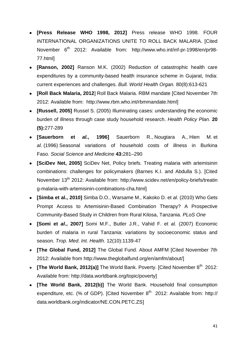- **[Press Release WHO 1998, 2012]** Press release WHO 1998. FOUR INTERNATIONAL ORGANIZATIONS UNITE TO ROLL BACK MALARIA. [Cited November 6<sup>th</sup> 2012: Available from: [http://www.who.int/inf-pr-1998/en/pr98-](http://www.who.int/inf-pr-1998/en/pr98-77.html) [77.html\]](http://www.who.int/inf-pr-1998/en/pr98-77.html)
- **[Ranson, 2002]** Ranson M.K. (2002) Reduction of catastrophic health care expenditures by a community-based health insurance scheme in Gujarat, India: current experiences and challenges. *Bull. World Health Organ.* 80(8):613-621
- **[Roll Back Malaria, 2012**] Roll Back Malaria. RBM mandate [Cited November 7th 2012: Available from: [http://www.rbm.who.int/rbmmandate.html\]](http://www.rbm.who.int/rbmmandate.html)
- **[Russell, 2005]** Russel S. (2005) Illuminating cases: understanding the economic burden of illness through case study household research. *Health Policy Plan.* **20 (5):**277-289
- **[Sauerborn et** *al.***, 1996]** Sauerborn R., Nougtara A., Hien M. et *al.* (1996) Seasonal variations of household costs of illness in Burkina Faso*. Social Science and Medicine* **43:**281–290
- **[SciDev Net, 2005]** SciDev Net, Policy briefs. Treating malaria with artemisinin combinations: challenges for policymakers (Barnes K.I. and Abdulla S.). [Cited November 13<sup>th</sup> 2012: Available from: http://www.scidev.net/en/policy-briefs/treatin [g-malaria-with-artemisinin-combinations-cha.html\]](http://www.scidev.net/en/policy-briefs/treatin%20g-malaria-with-artemisinin-combinations-cha.html)
- **[Simba et al., 2010]** Simba D.O., Warsame M., Kakoko D. et *al.* (2010) Who Gets Prompt Access to Artemisinin-Based Combination Therapy? A Prospective Community-Based Study in Children from Rural Kilosa, Tanzania. *PLoS One*
- **[Somi et** *al.***, 2007]** Somi M.F., Butler J.R., Vahid F. et *al.* (2007) Economic burden of malaria in rural Tanzania: variations by socioeconomic status and season. *Trop. Med. Int. Health.* 12(10):1139-47
- **[The Global Fund, 2012]** The Global Fund. About AMFM [Cited November 7th 2012: Available from [http://www.theglobalfund.org/en/amfm/about/\]](http://www.theglobalfund.org/en/amfm/about/)
- **[The World Bank, 2012(a)]** The World Bank. Poverty. [Cited November 8<sup>th</sup> 2012: Available from: [http://data.worldbank.org/topic/poverty\]](http://data.worldbank.org/topic/poverty)
- **[The World Bank, 2012(b)]** The World Bank. Household final consumption expenditure, etc. (% of GDP). [Cited November  $8<sup>th</sup>$  2012: Available from: http:// data.worldbank.org/indicator/NE.CON.PETC.ZS]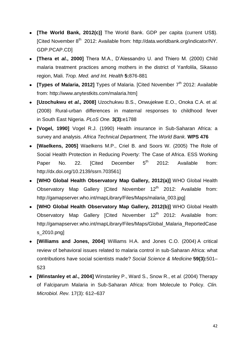- **[The World Bank, 2012(c)]** The World Bank. GDP per capita (current US\$). [Cited November 8<sup>th</sup> 2012: Available from: http://data.worldbank.org/indicator/NY. [GDP.PCAP.CD\]](http://data.worldbank.org/indicator/NY.%20GDP.PCAP.CD)
- **[Thera et** *al.***, 2000]** Thera M.A., D'Alessandro U. and Thiero M. (2000) Child malaria treatment practices among mothers in the district of Yanfolila, Sikasso region, Mali. *Trop. Med. and Int. Health* **5:**876-881
- **ITypes of Malaria, 20121** Types of Malaria. ICited November 7<sup>th</sup> 2012: Available from: [http://www.anytestkits.com/malaria.htm\]](http://www.anytestkits.com/malaria.htm)
- **[Uzochukwu et** *al.,* **2008]** Uzochukwu B.S., Onwujekwe E.O., Onoka C.A. et *al.* (2008) [Rural-urban differences in maternal responses to childhood fever](http://www-ncbi-nlm-nih-gov.proxy.library.uu.nl/pubmed/18335058)  in South [East Nigeria.](http://www-ncbi-nlm-nih-gov.proxy.library.uu.nl/pubmed/18335058) *PLoS One.* **3(3):**e1788
- **[Vogel, 1990]** Vogel R.J. (1990) Health insurance in Sub-Saharan Africa: a survey and analysis. *Africa Technical Department, The World Bank.* **WPS 476**
- **[Waelkens, 2005]** Waelkens M.P., Criel B. and Soors W*.* (2005) The Role of Social Health Protection in Reducing Poverty: The Case of Africa. ESS Working Paper No. 22.  $[Cited$  December  $5<sup>th</sup>$  2012: Available from: http://dx.doi.org/10.2139/ssrn.703561]
- **[WHO Global Health Observatory Map Gallery, 2012(a)]** WHO Global Health Observatory Map Gallery [Cited November 12<sup>th</sup> 2012: Available from: http://gamapserver.who.int/mapLibrary/Files/Maps/malaria\_003.jpg]
- **[WHO Global Health Observatory Map Gallery, 2012(b)]** WHO Global Health Observatory Map Gallery [Cited November 12<sup>th</sup> 2012: Available from: [http://gamapserver.who.int/mapLibrary/Files/Maps/Global\\_Malaria\\_ReportedCase](http://gamapserver.who.int/mapLibrary/Files/Maps/Global_Malaria_ReportedCases_2010.png) [s\\_2010.png\]](http://gamapserver.who.int/mapLibrary/Files/Maps/Global_Malaria_ReportedCases_2010.png)
- **[Williams and Jones, 2004]** Williams H.A. and Jones C.O. (2004) A critical review of behavioral issues related to malaria control in sub-Saharan Africa: what contributions have social scientists made? *Social Science & Medicine* **59(3):**501– 523
- **[Winstanley et** *al.***, 2004]** [Winstanley](http://www.ncbi.nlm.nih.gov/sites/entrez?cmd=search&db=PubMed&term=%20Winstanley%20P%5Bauth%5D) P., [Ward](http://www.ncbi.nlm.nih.gov/sites/entrez?cmd=search&db=PubMed&term=%20Ward%20S%5Bauth%5D) S., [Snow](http://www.ncbi.nlm.nih.gov/sites/entrez?cmd=search&db=PubMed&term=%20Snow%20R%5Bauth%5D) R., et *al.* (2004) Therapy of Falciparum Malaria in Sub-Saharan Africa: from Molecule to Policy. *Clin. Microbiol. Rev.* 17(3): 612–637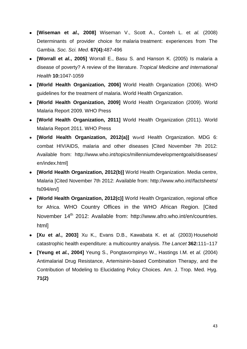- **[Wiseman et** *al.,* **2008]** Wiseman V., Scott A., Conteh L. et *al.* (2008) [Determinants of provider choice for](http://www-ncbi-nlm-nih-gov.proxy.library.uu.nl/pubmed/18538458) malaria treatment: experiences from The [Gambia.](http://www-ncbi-nlm-nih-gov.proxy.library.uu.nl/pubmed/18538458) *Soc. Sci. Med.* **67(4):**487-496
- **[Worrall et** *al.***, 2005]** Worrall E., Basu S. and Hanson K. (2005) Is malaria a disease of poverty? A review of the literature. *Tropical Medicine and International Health* **10:**1047-1059
- **[World Health Organization, 2006]** World Health Organization (2006). WHO guidelines for the treatment of malaria. World Health Organization.
- **[World Health Organization, 2009]** World Health Organization (2009). World Malaria Report 2009. WHO Press
- **[World Health Organization, 2011]** World Health Organization (2011). World Malaria Report 2011. WHO Press
- **[World Health Organization, 2012(a)]** World Health Organization. MDG 6: combat HIV/AIDS, malaria and other diseases [Cited November 7th 2012: Available from: [http://www.who.int/topics/millenniumdevelopmentgoals/diseases/](http://www.who.int/topics/millenniumdevelopmentgoals/diseases/%20en/index.html)  [en/index.html\]](http://www.who.int/topics/millenniumdevelopmentgoals/diseases/%20en/index.html)
- **[World Health Organization, 2012(b)]** World Health Organization. Media centre, Malaria [Cited November 7th 2012: Available from: [http://www.who.int//factsheets/](http://www.who.int/factsheets/) fs094/en/]
- **[World Health Organization, 2012(c)]** World Health Organization, regional office for Africa. WHO Country Offices in the WHO African Region. [Cited November 14<sup>th</sup> 2012: Available from: http://www.afro.who.int/en/countries. [html\]](http://www.afro.who.int/en/countries.%20html)
- **[Xu et** *al.***, 2003]** Xu K., Evans D.B., Kawabata K. et *al.* (2003) Household catastrophic health expenditure: a multicountry analysis. *The Lancet* **362:**111–117
- **[Yeung et** *al.***, 2004]** Yeung S., Pongtavornpinyo W., Hastings I.M. et *al.* (2004) Antimalarial Drug Resistance, Artemisinin-based Combination Therapy, and the Contribution of Modeling to Elucidating Policy Choices. Am. J. Trop. Med. Hyg. **71(2)**